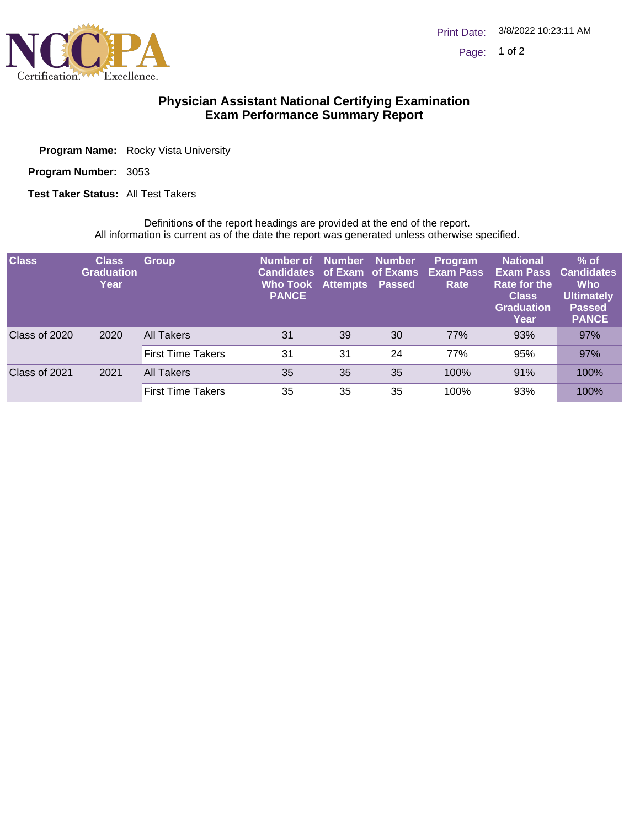

## **Physician Assistant National Certifying Examination Exam Performance Summary Report**

| <b>Program Name:</b> Rocky Vista University |
|---------------------------------------------|
|                                             |

3053 **Program Number:**

**Test Taker Status: All Test Takers** 

Definitions of the report headings are provided at the end of the report. All information is current as of the date the report was generated unless otherwise specified.

| <b>Class</b>  | <b>Class</b><br><b>Graduation</b><br>Year | <b>Group</b>             | Number of<br><b>Candidates of Exam of Exams</b><br><b>Who Took Attempts Passed</b><br><b>PANCE</b> | <b>Number</b> | <b>Number</b> | <b>Program</b><br><b>Exam Pass</b><br>Rate | <b>National</b><br>Exam Pass<br><b>Rate for the</b><br><b>Class</b><br><b>Graduation</b><br>Year | $%$ of<br><b>Candidates</b><br><b>Who</b><br><b>Ultimately</b><br><b>Passed</b><br><b>PANCE</b> |
|---------------|-------------------------------------------|--------------------------|----------------------------------------------------------------------------------------------------|---------------|---------------|--------------------------------------------|--------------------------------------------------------------------------------------------------|-------------------------------------------------------------------------------------------------|
| Class of 2020 | 2020                                      | All Takers               | 31                                                                                                 | 39            | 30            | 77%                                        | 93%                                                                                              | 97%                                                                                             |
|               |                                           | <b>First Time Takers</b> | 31                                                                                                 | 31            | 24            | 77%                                        | 95%                                                                                              | 97%                                                                                             |
| Class of 2021 | 2021                                      | <b>All Takers</b>        | 35                                                                                                 | 35            | 35            | 100%                                       | 91%                                                                                              | 100%                                                                                            |
|               |                                           | <b>First Time Takers</b> | 35                                                                                                 | 35            | 35            | 100%                                       | 93%                                                                                              | 100%                                                                                            |